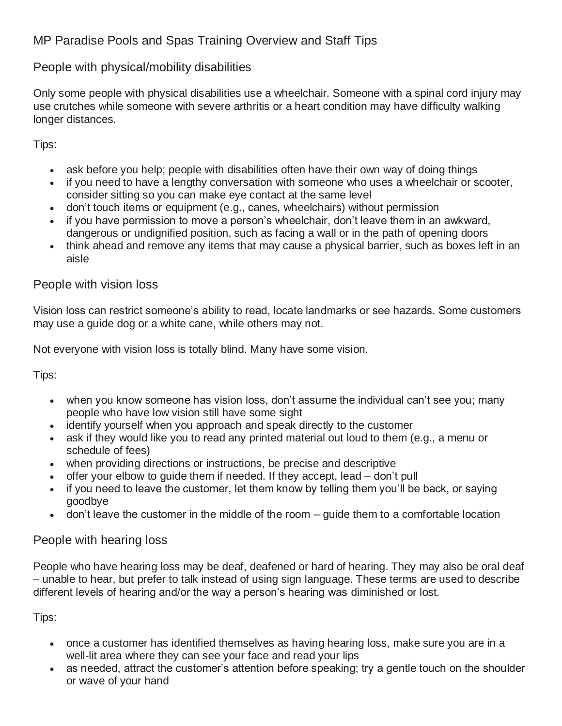# MP Paradise Pools and Spas Training Overview and Staff Tips

### People with physical/mobility disabilities

Only some people with physical disabilities use a wheelchair. Someone with a spinal cord injury may use crutches while someone with severe arthritis or a heart condition may have difficulty walking longer distances.

Tips:

- ask before you help; people with disabilities often have their own way of doing things
- if you need to have a lengthy conversation with someone who uses a wheelchair or scooter, consider sitting so you can make eye contact at the same level
- don't touch items or equipment (e.g., canes, wheelchairs) without permission
- if you have permission to move a person's wheelchair, don't leave them in an awkward, dangerous or undignified position, such as facing a wall or in the path of opening doors
- think ahead and remove any items that may cause a physical barrier, such as boxes left in an aisle

#### People with vision loss

Vision loss can restrict someone's ability to read, locate landmarks or see hazards. Some customers may use a guide dog or a white cane, while others may not.

Not everyone with vision loss is totally blind. Many have some vision.

Tips:

- when you know someone has vision loss, don't assume the individual can't see you; many people who have low vision still have some sight
- identify yourself when you approach and speak directly to the customer
- ask if they would like you to read any printed material out loud to them (e.g., a menu or schedule of fees)
- when providing directions or instructions, be precise and descriptive
- offer your elbow to guide them if needed. If they accept, lead don't pull
- if you need to leave the customer, let them know by telling them you'll be back, or saying goodbye
- don't leave the customer in the middle of the room guide them to a comfortable location

People with hearing loss

People who have hearing loss may be deaf, deafened or hard of hearing. They may also be oral deaf – unable to hear, but prefer to talk instead of using sign language. These terms are used to describe different levels of hearing and/or the way a person's hearing was diminished or lost.

Tips:

- once a customer has identified themselves as having hearing loss, make sure you are in a well-lit area where they can see your face and read your lips
- as needed, attract the customer's attention before speaking; try a gentle touch on the shoulder or wave of your hand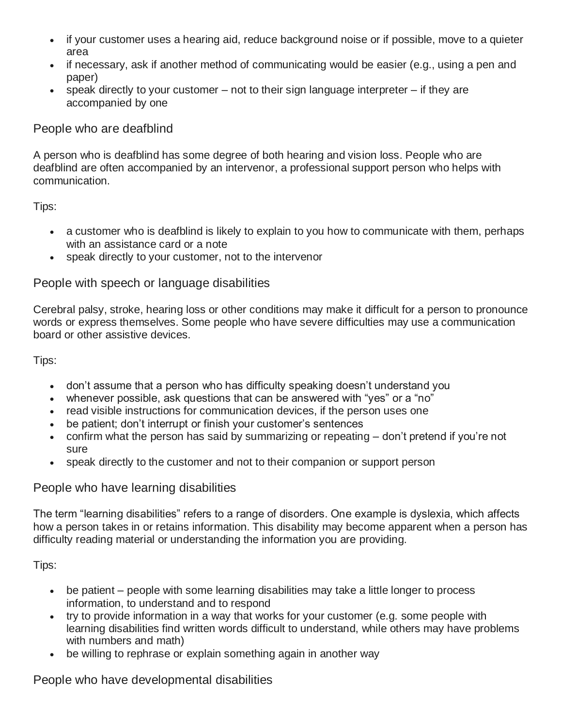- if your customer uses a hearing aid, reduce background noise or if possible, move to a quieter area
- if necessary, ask if another method of communicating would be easier (e.g., using a pen and paper)
- $\bullet$  speak directly to your customer not to their sign language interpreter if they are accompanied by one

### People who are deafblind

A person who is deafblind has some degree of both hearing and vision loss. People who are deafblind are often accompanied by an intervenor, a professional support person who helps with communication.

Tips:

- a customer who is deafblind is likely to explain to you how to communicate with them, perhaps with an assistance card or a note
- speak directly to your customer, not to the intervenor

### People with speech or language disabilities

Cerebral palsy, stroke, hearing loss or other conditions may make it difficult for a person to pronounce words or express themselves. Some people who have severe difficulties may use a communication board or other assistive devices.

Tips:

- don't assume that a person who has difficulty speaking doesn't understand you
- whenever possible, ask questions that can be answered with "yes" or a "no"
- read visible instructions for communication devices, if the person uses one
- be patient; don't interrupt or finish your customer's sentences
- confirm what the person has said by summarizing or repeating don't pretend if you're not sure
- speak directly to the customer and not to their companion or support person

# People who have learning disabilities

The term "learning disabilities" refers to a range of disorders. One example is dyslexia, which affects how a person takes in or retains information. This disability may become apparent when a person has difficulty reading material or understanding the information you are providing.

Tips:

- be patient people with some learning disabilities may take a little longer to process information, to understand and to respond
- try to provide information in a way that works for your customer (e.g. some people with learning disabilities find written words difficult to understand, while others may have problems with numbers and math)
- be willing to rephrase or explain something again in another way

# People who have developmental disabilities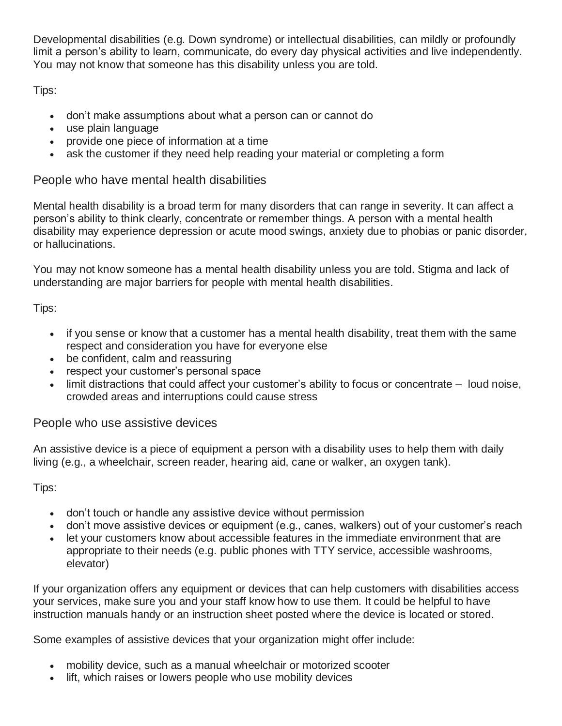Developmental disabilities (e.g. Down syndrome) or intellectual disabilities, can mildly or profoundly limit a person's ability to learn, communicate, do every day physical activities and live independently. You may not know that someone has this disability unless you are told.

Tips:

- don't make assumptions about what a person can or cannot do
- use plain language
- provide one piece of information at a time
- ask the customer if they need help reading your material or completing a form

### People who have mental health disabilities

Mental health disability is a broad term for many disorders that can range in severity. It can affect a person's ability to think clearly, concentrate or remember things. A person with a mental health disability may experience depression or acute mood swings, anxiety due to phobias or panic disorder, or hallucinations.

You may not know someone has a mental health disability unless you are told. Stigma and lack of understanding are major barriers for people with mental health disabilities.

Tips:

- if you sense or know that a customer has a mental health disability, treat them with the same respect and consideration you have for everyone else
- be confident, calm and reassuring
- respect your customer's personal space
- limit distractions that could affect your customer's ability to focus or concentrate loud noise, crowded areas and interruptions could cause stress

# People who use assistive devices

An assistive device is a piece of equipment a person with a disability uses to help them with daily living (e.g., a wheelchair, screen reader, hearing aid, cane or walker, an oxygen tank).

Tips:

- don't touch or handle any assistive device without permission
- don't move assistive devices or equipment (e.g., canes, walkers) out of your customer's reach
- let your customers know about accessible features in the immediate environment that are appropriate to their needs (e.g. public phones with TTY service, accessible washrooms, elevator)

If your organization offers any equipment or devices that can help customers with disabilities access your services, make sure you and your staff know how to use them. It could be helpful to have instruction manuals handy or an instruction sheet posted where the device is located or stored.

Some examples of assistive devices that your organization might offer include:

- mobility device, such as a manual wheelchair or motorized scooter
- lift, which raises or lowers people who use mobility devices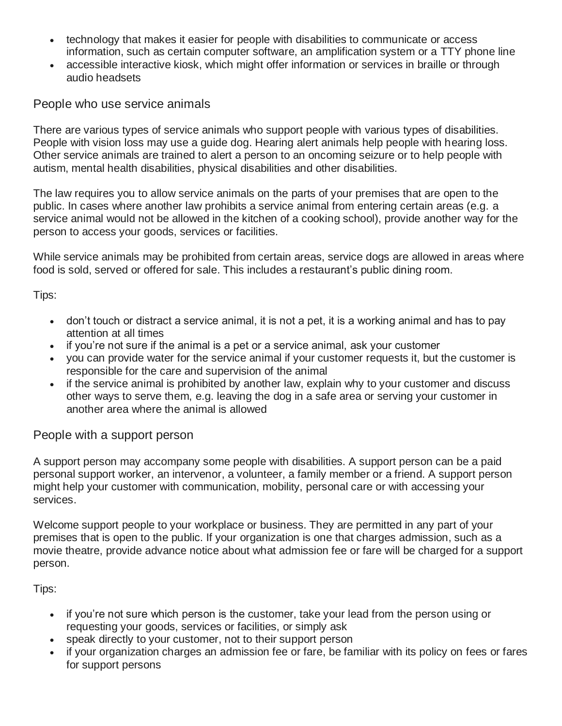- technology that makes it easier for people with disabilities to communicate or access information, such as certain computer software, an amplification system or a TTY phone line
- accessible interactive kiosk, which might offer information or services in braille or through audio headsets

People who use service animals

There are various types of service animals who support people with various types of disabilities. People with vision loss may use a guide dog. Hearing alert animals help people with hearing loss. Other service animals are trained to alert a person to an oncoming seizure or to help people with autism, mental health disabilities, physical disabilities and other disabilities.

The law requires you to allow service animals on the parts of your premises that are open to the public. In cases where another law prohibits a service animal from entering certain areas (e.g. a service animal would not be allowed in the kitchen of a cooking school), provide another way for the person to access your goods, services or facilities.

While service animals may be prohibited from certain areas, service dogs are allowed in areas where food is sold, served or offered for sale. This includes a restaurant's public dining room.

Tips:

- don't touch or distract a service animal, it is not a pet, it is a working animal and has to pay attention at all times
- if you're not sure if the animal is a pet or a service animal, ask your customer
- you can provide water for the service animal if your customer requests it, but the customer is responsible for the care and supervision of the animal
- if the service animal is prohibited by another law, explain why to your customer and discuss other ways to serve them, e.g. leaving the dog in a safe area or serving your customer in another area where the animal is allowed

### People with a support person

A support person may accompany some people with disabilities. A support person can be a paid personal support worker, an intervenor, a volunteer, a family member or a friend. A support person might help your customer with communication, mobility, personal care or with accessing your services.

Welcome support people to your workplace or business. They are permitted in any part of your premises that is open to the public. If your organization is one that charges admission, such as a movie theatre, provide advance notice about what admission fee or fare will be charged for a support person.

Tips:

- if you're not sure which person is the customer, take your lead from the person using or requesting your goods, services or facilities, or simply ask
- speak directly to your customer, not to their support person
- if your organization charges an admission fee or fare, be familiar with its policy on fees or fares for support persons